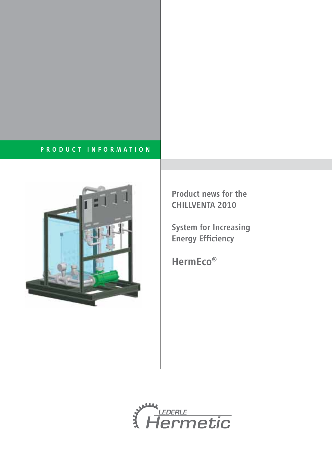# PRODUCT INFORMATION



Product news for the CHILLVENTA 2010

System for Increasing Energy Efficiency

HermEco®

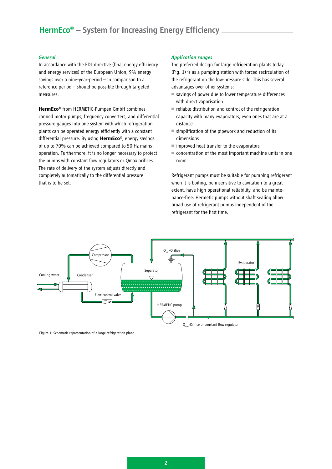# HermEco<sup>®</sup> – System for Increasing Energy Efficiency

### *General*

In accordance with the EDL directive (final energy efficiency and energy services) of the European Union, 9% energy savings over a nine-year-period – in comparison to a reference period – should be possible through targeted measures.

**HermEco®** from HERMETIC-Pumpen GmbH combines canned motor pumps, frequency converters, and differential pressure gauges into one system with which refrigeration plants can be operated energy efficiently with a constant differential pressure. By using **HermEco®**, energy savings of up to 70% can be achieved compared to 50 Hz mains operation. Furthermore, it is no longer necessary to protect the pumps with constant flow regulators or Qmax orifices. The rate of delivery of the system adjusts directly and completely automatically to the differential pressure that is to be set.

# *Application ranges*

The preferred design for large refrigeration plants today (Fig. 1) is as a pumping station with forced recirculation of the refrigerant on the low-pressure side. This has several advantages over other systems:

- savings of power due to lower temperature differences with direct vaporisation
- reliable distribution and control of the refrigeration capacity with many evaporators, even ones that are at a distance
- $\blacksquare$  simplification of the pipework and reduction of its dimensions
- improved heat transfer to the evaporators
- concentration of the most important machine units in one room.

Refrigerant pumps must be suitable for pumping refrigerant when it is boiling, be insensitive to cavitation to a great extent, have high operational reliability, and be maintenance-free. Hermetic pumps without shaft sealing allow broad use of refrigerant pumps independent of the refrigerant for the first time.



Figure 1: Schematic representation of a large refrigeration plant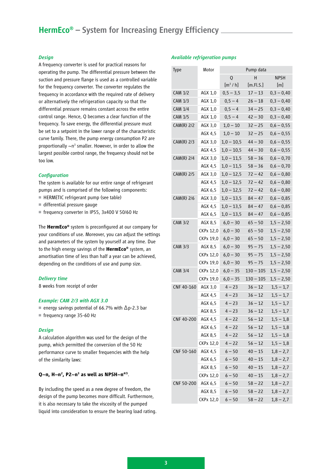# HermEco<sup>®</sup> – System for Increasing Energy Efficiency.

# *Design*

A frequency converter is used for practical reasons for operating the pump. The differential pressure between the suction and pressure flange is used as a controlled variable for the frequency converter. The converter regulates the frequency in accordance with the required rate of delivery or alternatively the refrigeration capacity so that the differential pressure remains constant across the entire control range. Hence, Q becomes a clear function of the frequency. To save energy, the differential pressure must be set to a setpoint in the lower range of the characteristic curve family. There, the pump energy consumption P2 are proportionally  $\sim$ n<sup>3</sup> smaller. However, in order to allow the largest possible control range, the frequency should not be too low.

### *Configuration*

The system is available for our entire range of refrigerant pumps and is comprised of the following components:

- HERMETIC refrigerant pump (see table)
- differential pressure gauge
- frequency converter in IP55, 3x400 V 50/60 Hz

The **HermEco®** system is preconfigured at our company for your conditions of use. Moreover, you can adjust the settings and parameters of the system by yourself at any time. Due to the high energy savings of the **HermEco®** system, an amortisation time of less than half a year can be achieved, depending on the conditions of use and pump size.

# *Delivery time*

8 weeks from receipt of order

#### *Example: CAM 2/3 with AGX 3.0*

- energy savings potential of 66.7% with ∆p-2.3 bar
- frequency range 35-60 Hz

### *Design*

A calculation algorithm was used for the design of the pump, which permitted the conversion of the 50 Hz performance curve to smaller frequencies with the help of the similarity laws:

#### **Q~n, H~n2 , P2~n3 as well as NPSH~n4/3**.

By including the speed as a new degree of freedom, the design of the pump becomes more difficult. Furthermore, it is also necessary to take the viscosity of the pumped liquid into consideration to ensure the bearing load rating.

# *Available refrigeration pumps*

| <b>Type</b>       | Motor     | Pump data           |             |              |
|-------------------|-----------|---------------------|-------------|--------------|
|                   |           | $\mathsf{O}$        | Н           | <b>NPSH</b>  |
|                   |           | [m <sup>3</sup> /h] | [m.Fl.S.]   | [m]          |
| <b>CAM 1/2</b>    | AGX 1,0   | $0,5 - 3,5$         | $17 - 13$   | $0,3 - 0,40$ |
| <b>CAM 1/3</b>    | AGX 1,0   | $0,5 - 4$           | $26 - 18$   | $0,3 - 0,40$ |
| <b>CAM 1/4</b>    | AGX 1,0   | $0,5 - 4$           | $34 - 25$   | $0,3 - 0,40$ |
| <b>CAM 1/5</b>    | AGX 1,0   | $0,5 - 4$           | $42 - 30$   | $0,3 - 0,40$ |
| $CAM(R)$ 2/2      | AGX 3,0   | $1,0 - 10$          | $32 - 25$   | $0,6 - 0,55$ |
|                   | AGX 4,5   | $1,0 - 10$          | $32 - 25$   | $0,6 - 0,55$ |
| $CAM(R)$ 2/3      | AGX 3,0   | $1,0 - 10,5$        | $44 - 30$   | $0,6 - 0,55$ |
|                   | AGX 4,5   | $1,0 - 10,5$        | $44 - 30$   | $0,6 - 0,55$ |
| $CAM(R)$ 2/4      | AGX 3,0   | $1,0 - 11,5$        | $58 - 36$   | $0,6 - 0,70$ |
|                   | AGX 4,5   | $1,0 - 11,5$        | $58 - 36$   | $0,6 - 0,70$ |
| CAM(R) 2/5        | AGX 3,0   | $1,0 - 12,5$        | $72 - 42$   | $0,6 - 0,80$ |
|                   | AGX 4,5   | $1,0 - 12,5$        | $72 - 42$   | $0,6 - 0,80$ |
|                   | AGX 6,5   | $1,0 - 12,5$        | $72 - 42$   | $0,6 - 0,80$ |
| $CAM(R)$ 2/6      | AGX 3,0   | $1,0 - 13,5$        | $84 - 47$   | $0,6 - 0,85$ |
|                   | AGX 4,5   | $1,0 - 13,5$        | $84 - 47$   | $0,6 - 0,85$ |
|                   | AGX 6,5   | $1,0 - 13,5$        | $84 - 47$   | $0,6 - 0,85$ |
| <b>CAM 3/2</b>    | AGX 8,5   | $6,0 - 30$          | $65 - 50$   | $1,5 - 2,50$ |
|                   | CKPx 12,0 | $6,0 - 30$          | $65 - 50$   | $1,5 - 2,50$ |
|                   | CKPx 19,0 | $6,0 - 30$          | $65 - 50$   | $1,5 - 2,50$ |
| <b>CAM 3/3</b>    | AGX 8,5   | $6,0 - 30$          | $95 - 75$   | $1,5 - 2,50$ |
|                   | CKPx 12,0 | $6,0 - 30$          | $95 - 75$   | $1,5 - 2,50$ |
|                   | CKPx 19,0 | $6,0 - 30$          | $95 - 75$   | $1,5 - 2,50$ |
| <b>CAM 3/4</b>    | CKPx 12,0 | $6,0 - 35$          | $130 - 105$ | $1,5 - 2,50$ |
|                   | CKPx 19,0 | $6,0 - 35$          | $130 - 105$ | $1,5 - 2,50$ |
| CNF 40-160        | AGX 3,0   | $4 - 23$            | $36 - 12$   | $1,5 - 1,7$  |
|                   | AGX 4,5   | $4 - 23$            | $36 - 12$   | $1,5 - 1,7$  |
|                   | AGX 6,5   | $4 - 23$            | $36 - 12$   | $1,5 - 1,7$  |
|                   | AGX 8,5   | $4 - 23$            | $36 - 12$   | $1,5 - 1,7$  |
| <b>CNF 40-200</b> | AGX 4,5   | $4 - 22$            | $56 - 12$   | $1,5 - 1,8$  |
|                   | AGX 6,5   | $4 - 22$            | $56 - 12$   | $1,5 - 1,8$  |
|                   | AGX 8,5   | $4 - 22$            | $56 - 12$   | $1,5 - 1,8$  |
|                   | CKPx 12,0 | $4 - 22$            | $56 - 12$   | $1,5 - 1,8$  |
| CNF 50-160        | AGX 4,5   | $6 - 50$            | $40 - 15$   | $1,8 - 2,7$  |
|                   | AGX 6,5   | $6 - 50$            | $40 - 15$   | $1,8 - 2,7$  |
|                   | AGX 8,5   | $6 - 50$            | $40 - 15$   | $1,8 - 2,7$  |
|                   | CKPx 12,0 | $6 - 50$            | $40 - 15$   | $1,8 - 2,7$  |
| CNF 50-200        | AGX 6,5   | $6 - 50$            | $58 - 22$   | $1,8 - 2,7$  |
|                   | AGX 8,5   | $6 - 50$            | $58 - 22$   | $1,8 - 2,7$  |
|                   | CKPx 12,0 | $6 - 50$            | $58 - 22$   | $1,8 - 2,7$  |